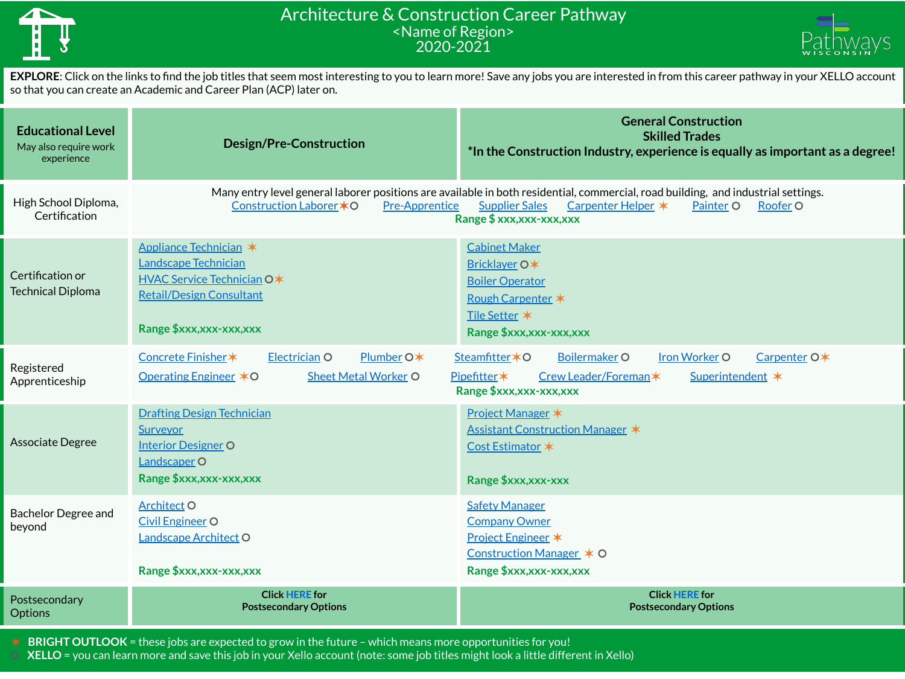

## Architecture & Construction Career Pathway <Name of Region> 2020-2021



**EXPLORE**: Click on the links to find the job titles that seem most interesting to you to learn more! Save any jobs you are interested in from this career pathway in your XELLO account so that you can create an Academic and Career Plan (ACP) later on.

| <b>Educational Level</b><br>May also require work<br>experience | <b>Design/Pre-Construction</b>                                                                                                                      | <b>General Construction</b><br><b>Skilled Trades</b><br>*In the Construction Industry, experience is equally as important as a degree!                                                                                                  |
|-----------------------------------------------------------------|-----------------------------------------------------------------------------------------------------------------------------------------------------|-----------------------------------------------------------------------------------------------------------------------------------------------------------------------------------------------------------------------------------------|
| High School Diploma,<br>Certification                           | Construction Laborer * O<br><b>Pre-Apprentice</b>                                                                                                   | Many entry level general laborer positions are available in both residential, commercial, road building, and industrial settings.<br><b>Supplier Sales</b><br>Carpenter Helper *<br>Roofer O<br>Painter O<br>Range \$ xxx, xxx-xxx, xxx |
| Certification or<br><b>Technical Diploma</b>                    | Appliance Technician *<br>Landscape Technician<br><b>HVAC Service Technician O*</b><br><b>Retail/Design Consultant</b><br>Range \$xxx, xxx-xxx, xxx | <b>Cabinet Maker</b><br>Bricklayer O*<br><b>Boiler Operator</b><br>Rough Carpenter *<br>Tile Setter *<br>Range \$xxx,xxx-xxx,xxx                                                                                                        |
| Registered<br>Apprenticeship                                    | Concrete Finisher*<br>Plumber O*<br>Electrician O<br><b>Operating Engineer ∗O</b><br><b>Sheet Metal Worker O</b>                                    | <b>Iron Worker O</b><br>Carpenter O*<br>Steamfitter*O<br>Boilermaker O<br>Crew Leader/Foreman*<br>Pipefitter *<br>Superintendent *<br>Range \$xxx,xxx-xxx,xxx                                                                           |
| <b>Associate Degree</b>                                         | <b>Drafting Design Technician</b><br><b>Surveyor</b><br><b>Interior Designer O</b><br><b>Landscaper O</b><br>Range \$xxx,xxx-xxx,xxx                | <b>Project Manager *</b><br><b>Assistant Construction Manager *</b><br>Cost Estimator *<br>Range \$xxx,xxx-xxx                                                                                                                          |
| <b>Bachelor Degree and</b><br>beyond                            | <b>Architect O</b><br><b>Civil Engineer O</b><br>Landscape Architect O<br>Range \$xxx, xxx-xxx, xxx                                                 | <b>Safety Manager</b><br><b>Company Owner</b><br><b>Project Engineer *</b><br>Construction Manager * O<br>Range \$xxx,xxx-xxx,xxx                                                                                                       |
| Postsecondary<br><b>Options</b>                                 | <b>Click HERE for</b><br><b>Postsecondary Options</b>                                                                                               | <b>Click HERE for</b><br><b>Postsecondary Options</b>                                                                                                                                                                                   |

✶ **BRIGHT OUTLOOK** = these jobs are expected to grow in the future – which means more opportunities for you!

⚪ **XELLO** = you can learn more and save this job in your Xello account (note: some job titles might look a little different in Xello)